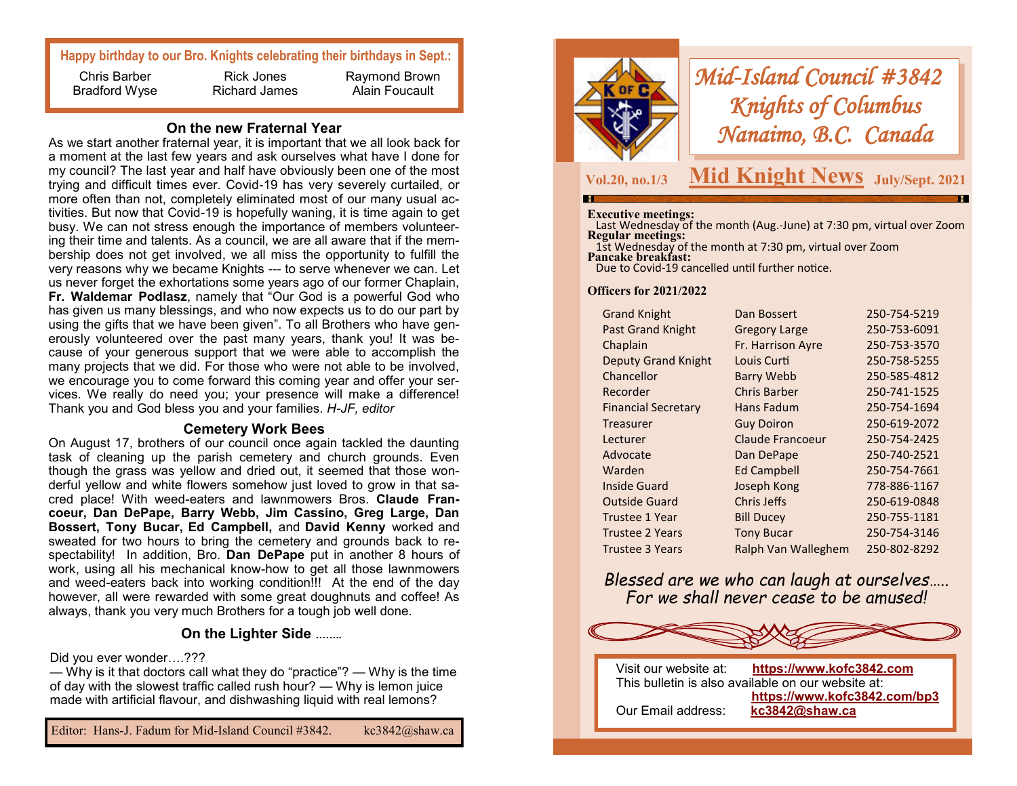# **Happy birthday to our Bro. Knights celebrating their birthdays in Sept.:**

Chris Barber Bradford Wyse

Rick Jones Richard James

Raymond Brown Alain Foucault

## **On the new Fraternal Year**

As we start another fraternal year, it is important that we all look back for a moment at the last few years and ask ourselves what have I done for my council? The last year and half have obviously been one of the most trying and difficult times ever. Covid-19 has very severely curtailed, or more often than not, completely eliminated most of our many usual activities. But now that Covid-19 is hopefully waning, it is time again to get busy. We can not stress enough the importance of members volunteering their time and talents. As a council, we are all aware that if the membership does not get involved, we all miss the opportunity to fulfill the very reasons why we became Knights --- to serve whenever we can. Let us never forget the exhortations some years ago of our former Chaplain, **Fr. Waldemar Podlasz**, namely that "Our God is a powerful God who has given us many blessings, and who now expects us to do our part by using the gifts that we have been given". To all Brothers who have generously volunteered over the past many years, thank you! It was because of your generous support that we were able to accomplish the many projects that we did. For those who were not able to be involved, we encourage you to come forward this coming year and offer your services. We really do need you; your presence will make a difference! Thank you and God bless you and your families. *H-JF, editor*

# **Cemetery Work Bees**

On August 17, brothers of our council once again tackled the daunting task of cleaning up the parish cemetery and church grounds. Even though the grass was yellow and dried out, it seemed that those wonderful yellow and white flowers somehow just loved to grow in that sacred place! With weed-eaters and lawnmowers Bros. **Claude Francoeur, Dan DePape, Barry Webb, Jim Cassino, Greg Large, Dan Bossert, Tony Bucar, Ed Campbell,** and **David Kenny** worked and sweated for two hours to bring the cemetery and grounds back to respectability! In addition, Bro. **Dan DePape** put in another 8 hours of work, using all his mechanical know-how to get all those lawnmowers and weed-eaters back into working condition!!! At the end of the day however, all were rewarded with some great doughnuts and coffee! As always, thank you very much Brothers for a tough job well done.

### **On the Lighter Side ……..**

### Did you ever wonder….???

— Why is it that doctors call what they do "practice"? — Why is the time of day with the slowest traffic called rush hour? — Why is lemon juice made with artificial flavour, and dishwashing liquid with real lemons?



# *Mid-Island Council #3842 Knights of Columbus Nanaimo, B.C. Canada*

**Vol.20, no.1/3**

# **Mid Knight News** July/Sept. 2021

#### **Executive meetings:**

 Last Wednesday of the month (Aug.-June) at 7:30 pm, virtual over Zoom **Regular meetings:** 

 1st Wednesday of the month at 7:30 pm, virtual over Zoom **Pancake breakfast:** Due to Covid-19 cancelled until further notice.

## **Officers for 2021/2022**

| <b>Grand Knight</b>        | Dan Bossert             | 250-754-5219 |
|----------------------------|-------------------------|--------------|
| Past Grand Knight          | <b>Gregory Large</b>    | 250-753-6091 |
| Chaplain                   | Fr. Harrison Ayre       | 250-753-3570 |
| <b>Deputy Grand Knight</b> | Louis Curti             | 250-758-5255 |
| Chancellor                 | <b>Barry Webb</b>       | 250-585-4812 |
| Recorder                   | <b>Chris Barber</b>     | 250-741-1525 |
| <b>Financial Secretary</b> | Hans Fadum              | 250-754-1694 |
| Treasurer                  | <b>Guy Doiron</b>       | 250-619-2072 |
| Lecturer                   | <b>Claude Francoeur</b> | 250-754-2425 |
| Advocate                   | Dan DePape              | 250-740-2521 |
| Warden                     | <b>Ed Campbell</b>      | 250-754-7661 |
| <b>Inside Guard</b>        | Joseph Kong             | 778-886-1167 |
| <b>Outside Guard</b>       | Chris Jeffs             | 250-619-0848 |
| Trustee 1 Year             | <b>Bill Ducey</b>       | 250-755-1181 |
| <b>Trustee 2 Years</b>     | <b>Tony Bucar</b>       | 250-754-3146 |
| Trustee 3 Years            | Ralph Van Walleghem     | 250-802-8292 |
|                            |                         |              |

*Blessed are we who can laugh at ourselves….. For we shall never cease to be amused!*